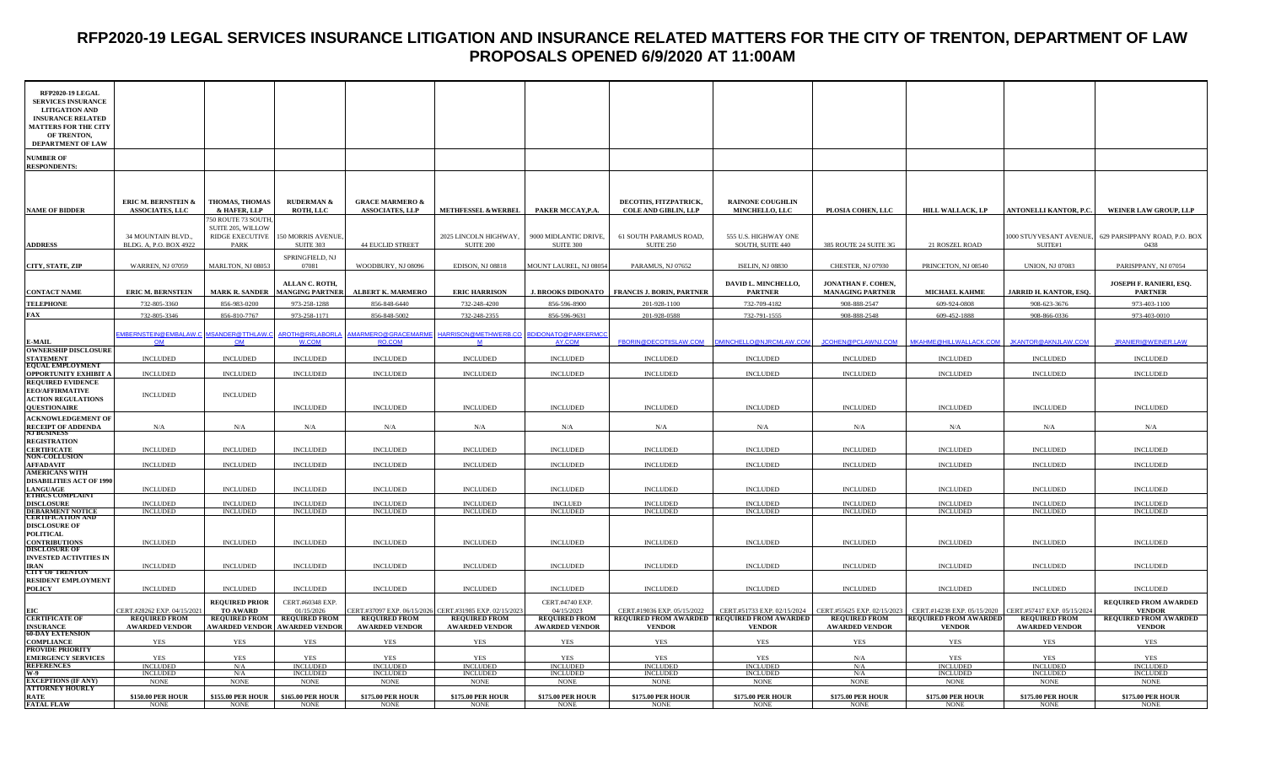#### **RFP2020-19 LEGAL SERVICES INSURANCE LITIGATION AND INSURANCE RELATED MATTERS FOR THE CITY OF TRENTON, DEPARTMENT OF LAW PROPOSALS OPENED 6/9/2020 AT 11:00AM**

| RFP2020-19 LEGAL<br><b>SERVICES INSURANCE</b><br><b>LITIGATION AND</b><br><b>INSURANCE RELATED</b><br><b>MATTERS FOR THE CITY</b><br>OF TRENTON,<br>DEPARTMENT OF LAW |                                                                    |                                                                     |                                                      |                                                         |                                               |                                               |                                                              |                                                  |                                               |                                                         |                                               |                                               |
|-----------------------------------------------------------------------------------------------------------------------------------------------------------------------|--------------------------------------------------------------------|---------------------------------------------------------------------|------------------------------------------------------|---------------------------------------------------------|-----------------------------------------------|-----------------------------------------------|--------------------------------------------------------------|--------------------------------------------------|-----------------------------------------------|---------------------------------------------------------|-----------------------------------------------|-----------------------------------------------|
| <b>JUMBER OF</b><br><b>RESPONDENTS:</b>                                                                                                                               |                                                                    |                                                                     |                                                      |                                                         |                                               |                                               |                                                              |                                                  |                                               |                                                         |                                               |                                               |
| <b>NAME OF BIDDER</b>                                                                                                                                                 | <b>ERIC M. BERNSTEIN &amp;</b><br><b>ASSOCIATES, LLC</b>           | THOMAS, THOMAS<br>& HAFER, LLP                                      | <b>RUDERMAN &amp;</b><br><b>ROTH, LLC</b>            | <b>GRACE MARMERO &amp;</b><br><b>ASSOCIATES, LLP</b>    | <b>METHFESSEL &amp;WERBEL</b>                 | PAKER MCCAY, P.A.                             | DECOTIIS, FITZPATRICK,<br><b>COLE AND GIBLIN, LLP</b>        | <b>RAINONE COUGHLIN</b><br><b>MINCHELLO, LLC</b> | PLOSIA COHEN, LLC                             | <b>HILL WALLACK, LP</b>                                 | <b>ANTONELLI KANTOR, P.C.</b>                 | WEINER LAW GROUP, LLP                         |
| <b>ADDRESS</b>                                                                                                                                                        | 34 MOUNTAIN BLVD.,<br>BLDG. A, P.O. BOX 4922                       | 750 ROUTE 73 SOUTH,<br>SUITE 205, WILLOW<br>RIDGE EXECUTIVE<br>PARK | 150 MORRIS AVENUE,<br>SUITE 303                      | 44 EUCLID STREET                                        | 2025 LINCOLN HIGHWAY,<br>SUITE 200            | 9000 MIDLANTIC DRIVE,<br>SUITE 300            | 61 SOUTH PARAMUS ROAD,<br>SUITE 250                          | 555 U.S. HIGHWAY ONE<br>SOUTH, SUITE 440         | 385 ROUTE 24 SUITE 3G                         | 21 ROSZEL ROAD                                          | 1000 STUYVESANT AVENUE,<br>SUITE#1            | 629 PARSIPPANY ROAD, P.O. BOX<br>0438         |
| CITY, STATE, ZIP                                                                                                                                                      | <b>WARREN, NJ 07059</b>                                            | MARLTON, NJ 08053                                                   | SPRINGFIELD, NJ<br>07081                             | WOODBURY, NJ 08096                                      | EDISON, NJ 08818                              | MOUNT LAUREL, NJ 08054                        | PARAMUS, NJ 07652                                            | <b>ISELIN, NJ 08830</b>                          | CHESTER, NJ 07930                             | PRINCETON, NJ 08540                                     | <b>UNION, NJ 07083</b>                        | PARISPPANY, NJ 07054                          |
| <b>CONTACT NAME</b>                                                                                                                                                   | <b>ERIC M. BERNSTEIN</b>                                           | <b>MARK R. SANDER</b>                                               | ALLAN C. ROTH,<br><b>MANGING PARTNER</b>             | <b>ALBERT K. MARMERO</b>                                | <b>ERIC HARRISON</b>                          |                                               | J. BROOKS DIDONATO   FRANCIS J. BORIN, PARTNER               | DAVID L. MINCHELLO,<br><b>PARTNER</b>            | JONATHAN F. COHEN,<br><b>MANAGING PARTNER</b> | <b>MICHAEL KAHME</b>                                    | JARRID H. KANTOR, ESQ.                        | JOSEPH F. RANIERI, ESQ.<br><b>PARTNER</b>     |
| <b>TELEPHONE</b>                                                                                                                                                      | 732-805-3360                                                       | 856-983-0200                                                        | 973-258-1288                                         | 856-848-6440                                            | 732-248-4200                                  | 856-596-8900                                  | 201-928-1100                                                 | 732-709-4182                                     | 908-888-2547                                  | 609-924-0808                                            | 908-623-3676                                  | 973-403-1100                                  |
| FAX                                                                                                                                                                   | 732-805-3346                                                       | 856-810-7767                                                        | 973-258-1171                                         | 856-848-5002                                            | 732-248-2355                                  | 856-596-9631                                  | 201-928-0588                                                 | 732-791-1555                                     | 908-888-2548                                  | 609-452-1888                                            | 908-866-0336                                  | 973-403-0010                                  |
| <b>MAIL</b>                                                                                                                                                           | <u>EMBERNSTEIN@EMBALAW.C</u> _MSANDER@TTHLAW. <mark>(</mark><br>OM | OM                                                                  | AROTH@RRLABORLA<br>W.COM                             | <b>RO.COM</b>                                           | MARMERO@GRACEMARME HARRISON@METHWERB.CO<br>M  | BDIDONATO@PARKERMCC<br><b>AY.COM</b>          |                                                              | FBORIN@DECOTIISLAW.COM DMINCHELLO@NJRCMLAW.COM   | JCOHEN@PCLAWNJ.COM                            | MKAHME@HILLWALLACK.COM                                  | JKANTOR@AKNJLAW.COM                           | JRANIERI@WEINER.LAW                           |
| <b>OWNERSHIP DISCLOSURE</b><br><b>STATEMENT</b><br>EQUAL EMPLOYMENT                                                                                                   | <b>INCLUDED</b>                                                    | <b>INCLUDED</b>                                                     | <b>INCLUDED</b>                                      | <b>INCLUDED</b>                                         | <b>INCLUDED</b>                               | <b>INCLUDED</b>                               | <b>INCLUDED</b>                                              | <b>INCLUDED</b>                                  | <b>INCLUDED</b>                               | <b>INCLUDED</b>                                         | <b>INCLUDED</b>                               | <b>INCLUDED</b>                               |
| <b>OPPORTUNITY EXHIBIT A</b>                                                                                                                                          | <b>INCLUDED</b>                                                    | <b>INCLUDED</b>                                                     | <b>INCLUDED</b>                                      | <b>INCLUDED</b>                                         | <b>INCLUDED</b>                               | $\sf INCLUDED$                                | <b>INCLUDED</b>                                              | <b>INCLUDED</b>                                  | <b>INCLUDED</b>                               | <b>INCLUDED</b>                                         | <b>INCLUDED</b>                               | <b>INCLUDED</b>                               |
| <b>REQUIRED EVIDENCE</b><br><b>EEO/AFFIRMATIVE</b><br><b>ACTION REGULATIONS</b><br><b>OUESTIONAIRE</b>                                                                | <b>INCLUDED</b>                                                    | <b>INCLUDED</b>                                                     | <b>INCLUDED</b>                                      | <b>INCLUDED</b>                                         | <b>INCLUDED</b>                               | <b>INCLUDED</b>                               | <b>INCLUDED</b>                                              | <b>INCLUDED</b>                                  | <b>INCLUDED</b>                               | <b>INCLUDED</b>                                         | <b>INCLUDED</b>                               | <b>INCLUDED</b>                               |
| <b>ACKNOWLEDGEMENT OF</b>                                                                                                                                             |                                                                    |                                                                     |                                                      |                                                         |                                               |                                               |                                                              |                                                  |                                               |                                                         |                                               |                                               |
| <b>RECEIPT OF ADDENDA</b><br>\J BUSINESS                                                                                                                              | N/A                                                                | N/A                                                                 | N/A                                                  | N/A                                                     | N/A                                           | N/A                                           | ${\rm N/A}$                                                  | N/A                                              | N/A                                           | N/A                                                     | N/A                                           | N/A                                           |
| <b>REGISTRATION</b><br><b>CERTIFICATE</b><br><b>NON-COLLUSION</b>                                                                                                     | <b>INCLUDED</b>                                                    | <b>INCLUDED</b>                                                     | <b>INCLUDED</b>                                      | <b>INCLUDED</b>                                         | <b>INCLUDED</b>                               | <b>INCLUDED</b>                               | <b>INCLUDED</b>                                              | <b>INCLUDED</b>                                  | <b>INCLUDED</b>                               | <b>INCLUDED</b>                                         | <b>INCLUDED</b>                               | <b>INCLUDED</b>                               |
| <b>AFFADAVIT</b>                                                                                                                                                      | <b>INCLUDED</b>                                                    | <b>INCLUDED</b>                                                     | <b>INCLUDED</b>                                      | <b>INCLUDED</b>                                         | <b>INCLUDED</b>                               | <b>INCLUDED</b>                               | <b>INCLUDED</b>                                              | <b>INCLUDED</b>                                  | <b>INCLUDED</b>                               | <b>INCLUDED</b>                                         | <b>INCLUDED</b>                               | <b>INCLUDED</b>                               |
| <b>AMERICANS WITH</b><br><b>DISABILITIES ACT OF 1990</b><br>LANGUAGE<br>ETHICS COMPLAINT                                                                              | <b>INCLUDED</b>                                                    | <b>INCLUDED</b>                                                     | <b>INCLUDED</b>                                      | <b>INCLUDED</b>                                         | $\sf INCLUDED$                                | <b>INCLUDED</b>                               | <b>INCLUDED</b>                                              | <b>INCLUDED</b>                                  | <b>INCLUDED</b>                               | <b>INCLUDED</b>                                         | <b>INCLUDED</b>                               | <b>INCLUDED</b>                               |
| <b>DISCLOSURE</b>                                                                                                                                                     | <b>INCLUDED</b>                                                    | <b>INCLUDED</b>                                                     | <b>INCLUDED</b>                                      | <b>INCLUDED</b>                                         | <b>INCLUDED</b>                               | <b>INCLUED</b>                                | <b>INCLUDED</b>                                              | <b>INCLUDED</b>                                  | <b>INCLUDED</b>                               | <b>INCLUDED</b>                                         | <b>INCLUDED</b>                               | <b>INCLUDED</b>                               |
| <b>DEBARMENT NOTICE</b>                                                                                                                                               | <b>INCLUDED</b>                                                    | <b>INCLUDED</b>                                                     | <b>INCLUDED</b>                                      | <b>INCLUDED</b>                                         | <b>INCLUDED</b>                               | <b>INCLUDED</b>                               | <b>INCLUDED</b>                                              | <b>INCLUDED</b>                                  | <b>INCLUDED</b>                               | <b>INCLUDED</b>                                         | <b>INCLUDED</b>                               | <b>INCLUDED</b>                               |
| <b>CERTIFICATION AND</b><br><b>DISCLOSURE OF</b><br><b>POLITICAL</b><br><b>CONTRIBUTIONS</b>                                                                          | <b>INCLUDED</b>                                                    | <b>INCLUDED</b>                                                     | <b>INCLUDED</b>                                      | <b>INCLUDED</b>                                         | <b>INCLUDED</b>                               | <b>INCLUDED</b>                               | <b>INCLUDED</b>                                              | <b>INCLUDED</b>                                  | <b>INCLUDED</b>                               | <b>INCLUDED</b>                                         | <b>INCLUDED</b>                               | <b>INCLUDED</b>                               |
| <b>DISCLOSURE OF</b><br><b>INVESTED ACTIVITIES IN</b>                                                                                                                 |                                                                    |                                                                     |                                                      |                                                         |                                               |                                               |                                                              |                                                  |                                               |                                                         |                                               |                                               |
| <b>IRAN</b><br><b>CITY OF TRENTON</b>                                                                                                                                 | <b>INCLUDED</b>                                                    | <b>INCLUDED</b>                                                     | <b>INCLUDED</b>                                      | <b>INCLUDED</b>                                         | <b>INCLUDED</b>                               | <b>INCLUDED</b>                               | <b>INCLUDED</b>                                              | <b>INCLUDED</b>                                  | <b>INCLUDED</b>                               | <b>INCLUDED</b>                                         | <b>INCLUDED</b>                               | <b>INCLUDED</b>                               |
| <b>RESIDENT EMPLOYMENT</b><br><b>POLICY</b>                                                                                                                           | <b>INCLUDED</b>                                                    | <b>INCLUDED</b>                                                     | <b>INCLUDED</b>                                      | <b>INCLUDED</b>                                         | <b>INCLUDED</b>                               | <b>INCLUDED</b>                               | <b>INCLUDED</b>                                              | <b>INCLUDED</b>                                  | <b>INCLUDED</b>                               | <b>INCLUDED</b>                                         | <b>INCLUDED</b>                               | <b>INCLUDED</b>                               |
|                                                                                                                                                                       |                                                                    | <b>REQUIRED PRIOR</b>                                               | CERT.#60348 EXP.                                     |                                                         |                                               | CERT.#4740 EXP.                               |                                                              |                                                  |                                               |                                                         |                                               | <b>REQUIRED FROM AWARDED</b>                  |
| šІС                                                                                                                                                                   | CERT.#28262 EXP. 04/15/2021                                        | TO AWARD                                                            | 01/15/2026                                           | CERT.#37097 EXP. 06/15/2026 CERT.#31985 EXP. 02/15/2023 |                                               | 04/15/2023                                    | CERT.#19036 EXP. 05/15/2022                                  | CERT.#51733 EXP. 02/15/2024                      | CERT.#55625 EXP. 02/15/2023                   | CERT.#14238 EXP. 05/15/2020 CERT.#57417 EXP. 05/15/2024 |                                               | <b>VENDOR</b>                                 |
| <b>CERTIFICATE OF</b><br><b>INSURANCE</b>                                                                                                                             | <b>REQUIRED FROM</b><br><b>AWARDED VENDOR</b>                      | <b>AWARDED VENDOR</b>                                               | REQUIRED FROM REQUIRED FROM<br><b>AWARDED VENDOR</b> | <b>REQUIRED FROM</b><br><b>AWARDED VENDOR</b>           | <b>REQUIRED FROM</b><br><b>AWARDED VENDOR</b> | <b>REQUIRED FROM</b><br><b>AWARDED VENDOR</b> | REQUIRED FROM AWARDED REQUIRED FROM AWARDED<br><b>VENDOR</b> | <b>VENDOR</b>                                    | <b>REQUIRED FROM</b><br><b>AWARDED VENDOR</b> | <b>REQUIRED FROM AWARDED</b><br><b>VENDOR</b>           | <b>REQUIRED FROM</b><br><b>AWARDED VENDOR</b> | <b>REQUIRED FROM AWARDED</b><br><b>VENDOR</b> |
| <b>60-DAY EXTENSION</b><br>COMPLIANCE                                                                                                                                 | YES                                                                | <b>YES</b>                                                          | YES                                                  | YES                                                     | <b>YES</b>                                    | YES                                           | <b>YES</b>                                                   | <b>YES</b>                                       | <b>YES</b>                                    | YES                                                     | <b>YES</b>                                    | <b>YES</b>                                    |
| <b>PROVIDE PRIORITY</b><br><b>EMERGENCY SERVICES</b>                                                                                                                  | <b>YES</b>                                                         | <b>YES</b>                                                          | YES                                                  | <b>YES</b>                                              | YES                                           | <b>YES</b>                                    | YES                                                          | <b>YES</b>                                       | N/A                                           | <b>YES</b>                                              | <b>YES</b>                                    | YES                                           |
| <b>REFERENCES</b>                                                                                                                                                     | <b>INCLUDED</b>                                                    | N/A                                                                 | <b>INCLUDED</b>                                      | <b>INCLUDED</b>                                         | <b>INCLUDED</b>                               | <b>INCLUDED</b>                               | <b>INCLUDED</b>                                              | <b>INCLUDED</b>                                  | N/A                                           | <b>INCLUDED</b>                                         | <b>INCLUDED</b>                               | <b>INCLUDED</b>                               |
| V-9<br><b>EXCEPTIONS (IF ANY)</b>                                                                                                                                     | <b>INCLUDED</b><br><b>NONE</b>                                     | N/A<br><b>NONE</b>                                                  | <b>INCLUDED</b><br><b>NONE</b>                       | <b>INCLUDED</b><br><b>NONE</b>                          | <b>INCLUDED</b><br><b>NONE</b>                | <b>INCLUDED</b><br><b>NONE</b>                | <b>INCLUDED</b><br><b>NONE</b>                               | <b>INCLUDED</b><br><b>NONE</b>                   | N/A<br><b>NONE</b>                            | INCLUDED<br><b>NONE</b>                                 | <b>INCLUDED</b><br><b>NONE</b>                | <b>INCLUDED</b><br><b>NONE</b>                |
| <b>ATTORNEY HOURLY</b><br>RATE                                                                                                                                        | \$150.00 PER HOUR                                                  | <b>\$155.00 PER HOUR</b>                                            | <b>\$165.00 PER HOUR</b>                             | <b>\$175.00 PER HOUR</b>                                | \$175.00 PER HOUR                             | <b>\$175.00 PER HOUR</b>                      | \$175.00 PER HOUR                                            | \$175.00 PER HOUR                                | <b>\$175.00 PER HOUR</b>                      | <b>\$175.00 PER HOUR</b>                                | \$175.00 PER HOUR                             | <b>\$175.00 PER HOUR</b>                      |
| <b>FATAL FLAW</b>                                                                                                                                                     | <b>NONE</b>                                                        | <b>NONE</b>                                                         | <b>NONE</b>                                          | <b>NONE</b>                                             | <b>NONE</b>                                   | <b>NONE</b>                                   | <b>NONE</b>                                                  | <b>NONE</b>                                      | <b>NONE</b>                                   | <b>NONE</b>                                             | <b>NONE</b>                                   | <b>NONE</b>                                   |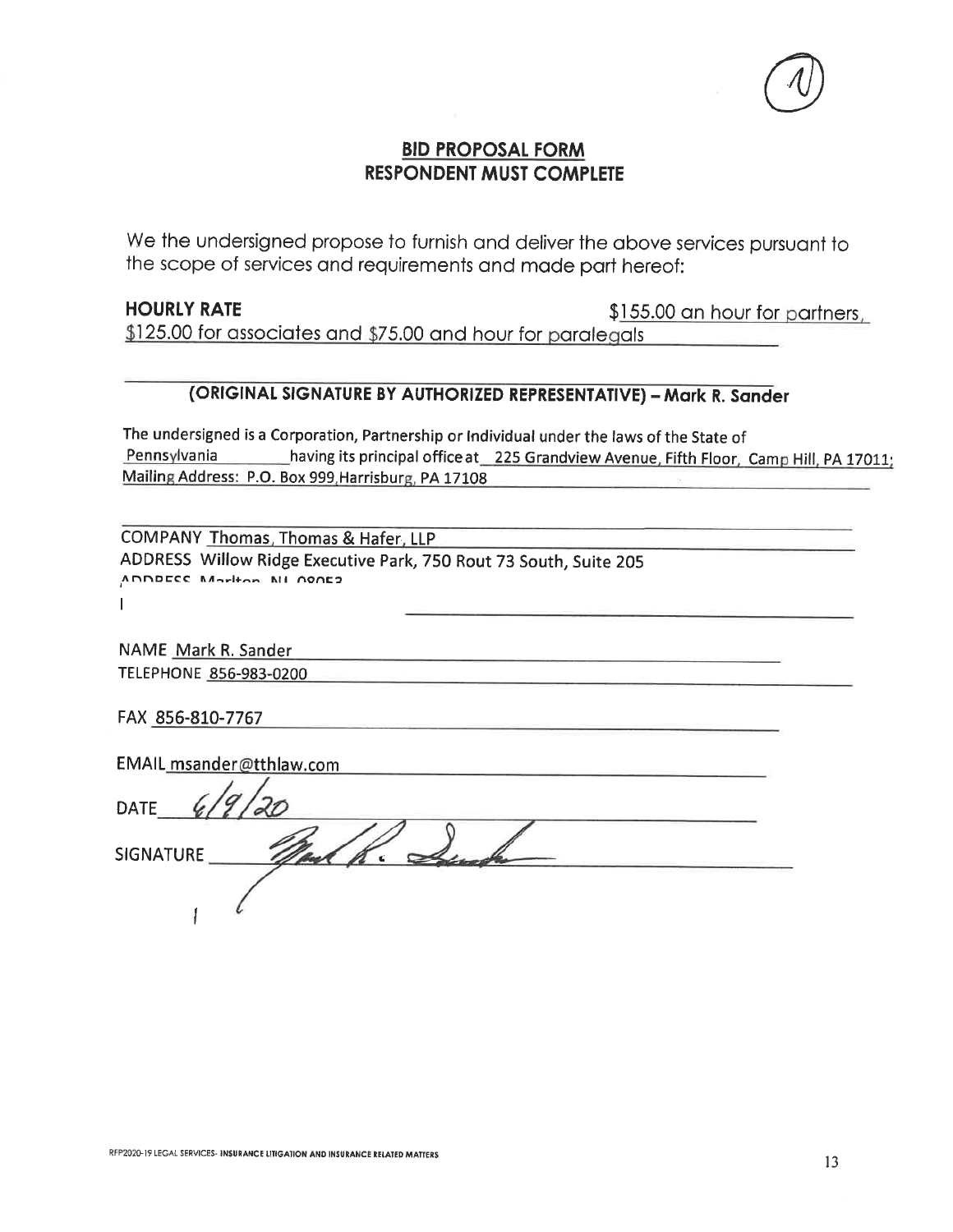#### **BID PROPOSAL FORM RESPONDENT MUST COMPLETE**

We the undersigned propose to furnish and deliver the above services pursuant to the scope of services and requirements and made part hereof:

#### **HOURLY RATE**

\$155.00 an hour for partners,

 $$125.00$  for associates and  $$75.00$  and hour for paralegals

### (ORIGINAL SIGNATURE BY AUTHORIZED REPRESENTATIVE) - Mark R. Sander

The undersigned is a Corporation, Partnership or Individual under the laws of the State of Pennsylvania \_\_\_\_\_\_\_\_\_\_having its principal office at \_\_225 Grandview Avenue, Fifth Floor, Camp Hill, PA 17011; Mailing Address: P.O. Box 999, Harrisburg, PA 17108

COMPANY Thomas, Thomas & Hafer, LLP ADDRESS Willow Ridge Executive Park, 750 Rout 73 South, Suite 205 ADDDECC Mortion NI 000E2  $\mathbf{I}$ 

NAME Mark R. Sander TELEPHONE 856-983-0200

FAX 856-810-7767

| EMAIL msander@tthlaw.com |  |
|--------------------------|--|
|                          |  |
| <b>DATE</b>              |  |
|                          |  |
| <b>SIGNATURE</b>         |  |
|                          |  |
|                          |  |
|                          |  |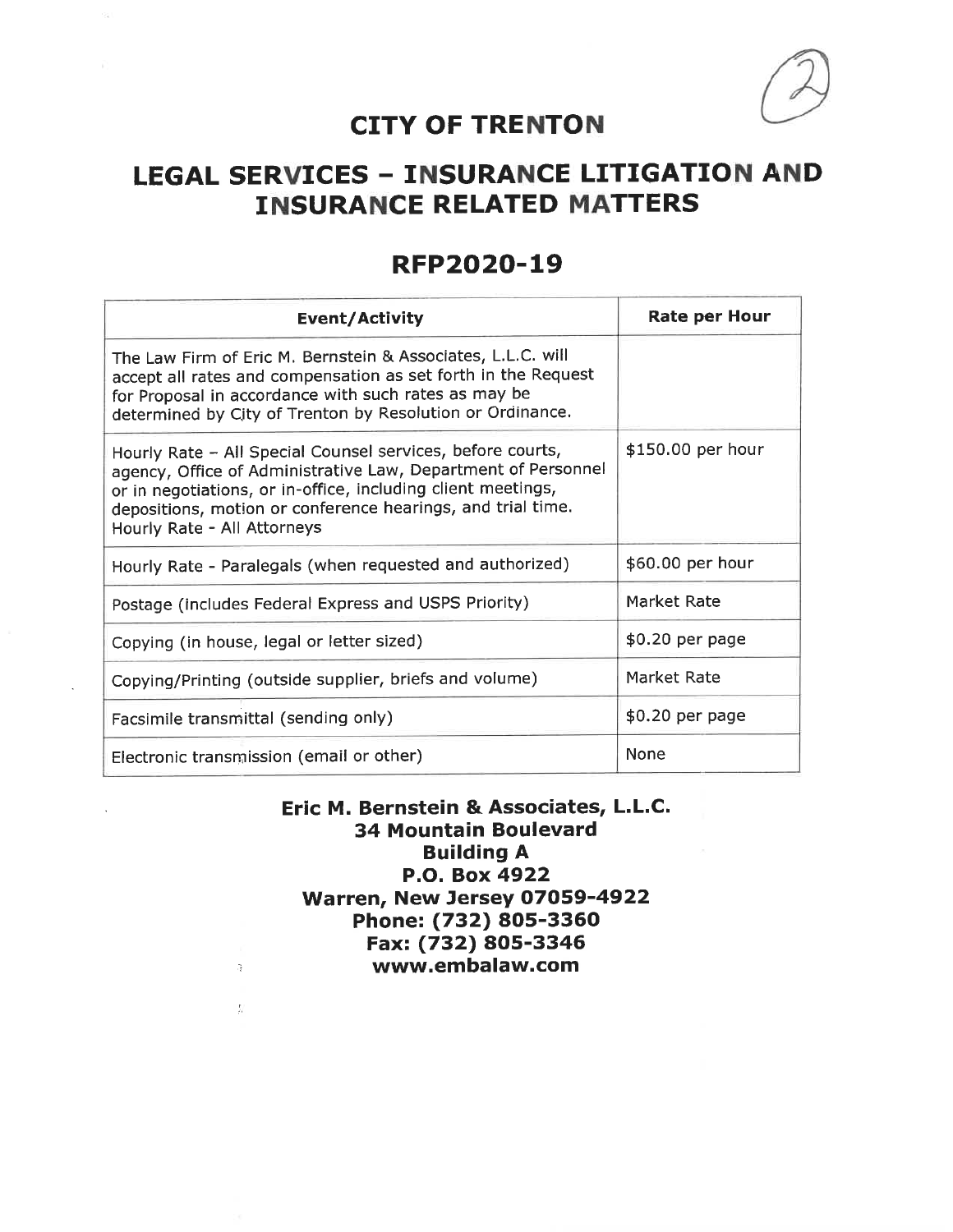

## **CITY OF TRENTON**

# **LEGAL SERVICES - INSURANCE LITIGATION AND INSURANCE RELATED MATTERS**

## **RFP2020-19**

| Event/Activity                                                                                                                                                                                                                                                                            | <b>Rate per Hour</b> |
|-------------------------------------------------------------------------------------------------------------------------------------------------------------------------------------------------------------------------------------------------------------------------------------------|----------------------|
| The Law Firm of Eric M. Bernstein & Associates, L.L.C. will<br>accept all rates and compensation as set forth in the Request<br>for Proposal in accordance with such rates as may be<br>determined by City of Trenton by Resolution or Ordinance.                                         |                      |
| Hourly Rate - All Special Counsel services, before courts,<br>agency, Office of Administrative Law, Department of Personnel<br>or in negotiations, or in-office, including client meetings,<br>depositions, motion or conference hearings, and trial time.<br>Hourly Rate - All Attorneys | \$150.00 per hour    |
| Hourly Rate - Paralegals (when requested and authorized)                                                                                                                                                                                                                                  | \$60.00 per hour     |
| Postage (includes Federal Express and USPS Priority)                                                                                                                                                                                                                                      | Market Rate          |
| Copying (in house, legal or letter sized)                                                                                                                                                                                                                                                 | \$0.20 per page      |
| Copying/Printing (outside supplier, briefs and volume)                                                                                                                                                                                                                                    | Market Rate          |
| Facsimile transmittal (sending only)                                                                                                                                                                                                                                                      | \$0.20 per page      |
| Electronic transmission (email or other)                                                                                                                                                                                                                                                  | <b>None</b>          |

Eric M. Bernstein & Associates, L.L.C. **34 Mountain Boulevard Building A** P.O. Box 4922 Warren, New Jersey 07059-4922 Phone: (732) 805-3360 Fax: (732) 805-3346 www.embalaw.com

 $\hat{\boldsymbol{z}}$ 

 $\frac{F}{\rho r}$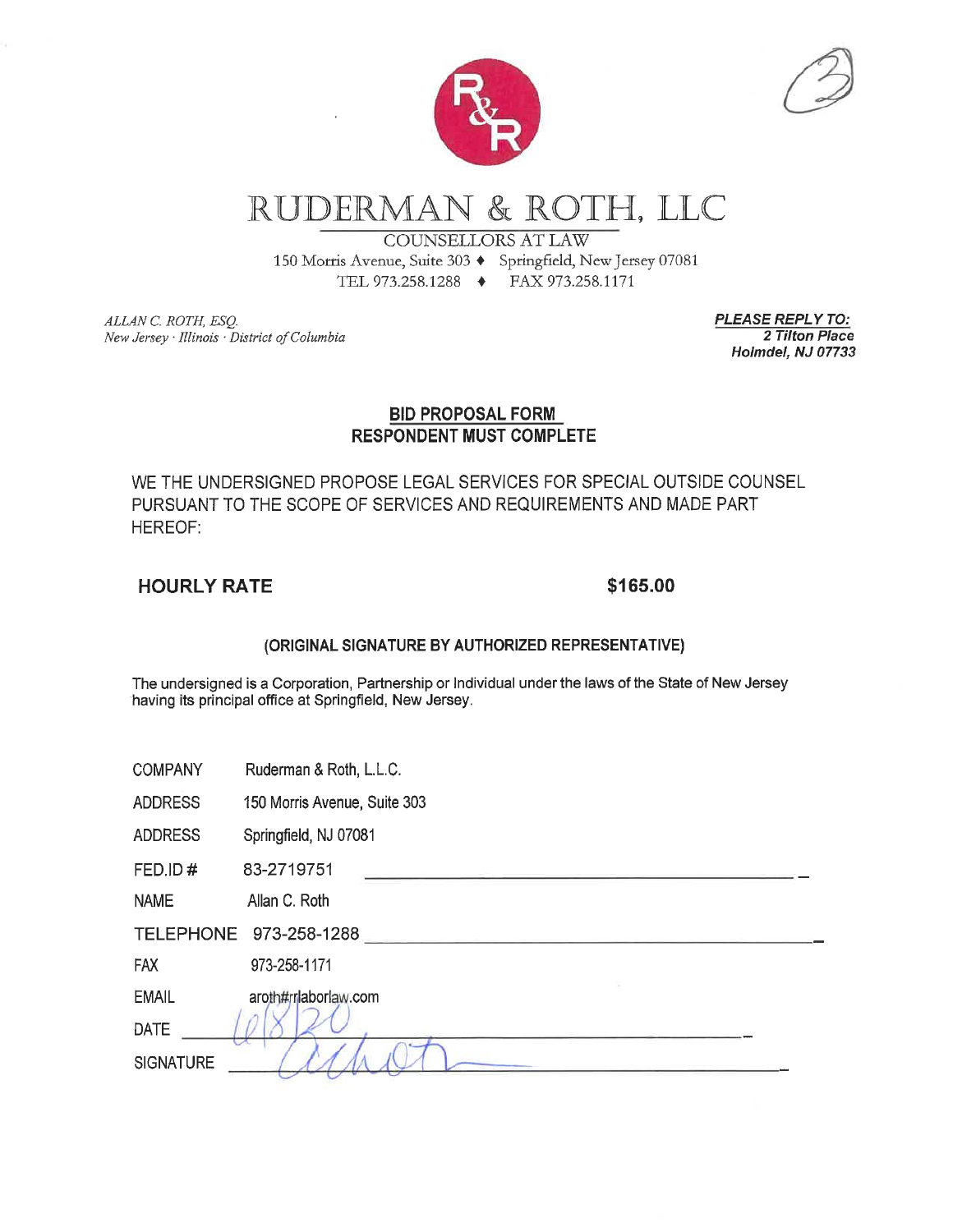

# RUDERMAN & ROTH, LLC

**COUNSELLORS AT LAW** 

150 Morris Avenue, Suite 303 + Springfield, New Jersey 07081 TEL 973.258.1288 → FAX 973.258.1171

ALLAN C. ROTH, ESO. New Jersey · Illinois · District of Columbia **PLEASE REPLY TO:** 2 Tilton Place Holmdel, NJ 07733

#### **BID PROPOSAL FORM RESPONDENT MUST COMPLETE**

WE THE UNDERSIGNED PROPOSE LEGAL SERVICES FOR SPECIAL OUTSIDE COUNSEL PURSUANT TO THE SCOPE OF SERVICES AND REQUIREMENTS AND MADE PART HEREOF:

#### **HOURLY RATE**

#### \$165.00

#### (ORIGINAL SIGNATURE BY AUTHORIZED REPRESENTATIVE)

The undersigned is a Corporation, Partnership or Individual under the laws of the State of New Jersey having its principal office at Springfield, New Jersey.

| <b>COMPANY</b> | Ruderman & Roth, L.L.C. |  |  |
|----------------|-------------------------|--|--|
|                |                         |  |  |

**ADDRESS** 150 Morris Avenue, Suite 303

**ADDRESS** Springfield, NJ 07081

FED.ID# 83-2719751

Allan C. Roth **NAME** 

**FAX** 973-258-1171

**EMAIL** aroth#rrlaborlaw.com

**DATE** 

**SIGNATURE**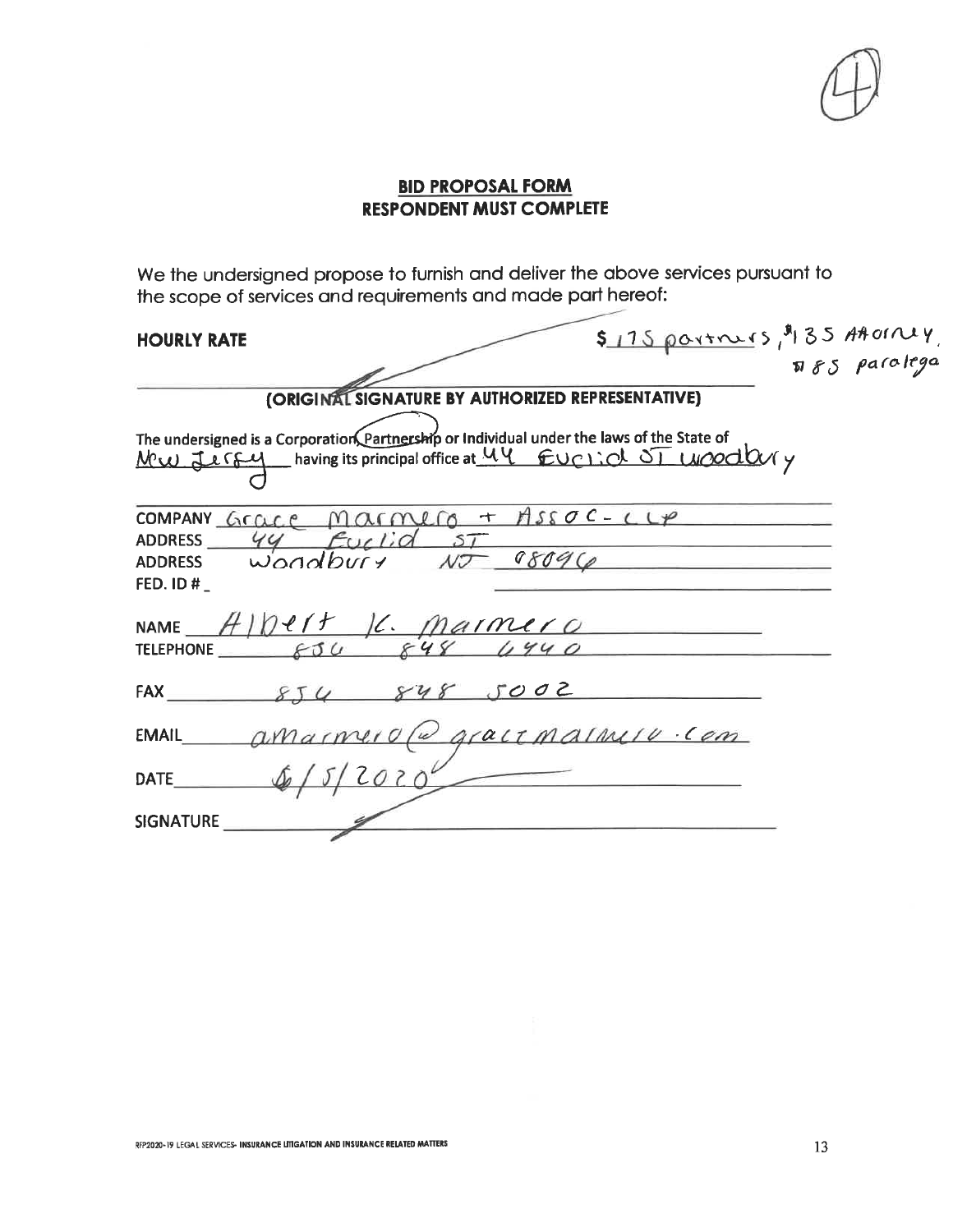#### **BID PROPOSAL FORM RESPONDENT MUST COMPLETE**

We the undersigned propose to furnish and deliver the above services pursuant to the scope of services and requirements and made part hereof:

#### HOIIDIV DATE

| <b>HOURLY RATE</b>             |                                                                                                                                                           | $$175\rho\text{a}$<br>$$85$ Attoiny, |
|--------------------------------|-----------------------------------------------------------------------------------------------------------------------------------------------------------|--------------------------------------|
|                                |                                                                                                                                                           |                                      |
|                                | (ORIGINAL SIGNATURE BY AUTHORIZED REPRESENTATIVE)                                                                                                         |                                      |
|                                | The undersigned is a Corporation Partnership or Individual under the laws of the State of<br>Mw Jergy having its principal office at 44 Euclid ST Woodbyy |                                      |
| <b>ADDRESS</b><br>FED. ID $#_$ | COMPANY Grace Marmero + ASSOC-CLP<br>44 Euclid ST<br>$10 - 08096$<br>ADDRESS $w_{\text{odd}}$                                                             |                                      |
|                                | NAME $A Def$ IC. Marmer 0<br>TELEPHONE $s30$ 848 4940                                                                                                     |                                      |
|                                | FAX $854 848 5002$                                                                                                                                        |                                      |
| <b>EMAIL</b>                   | amarmero (a gracionalmio com                                                                                                                              |                                      |
| DATE                           | $5/2020^{\circ}$                                                                                                                                          |                                      |
| <b>SIGNATURE</b>               |                                                                                                                                                           |                                      |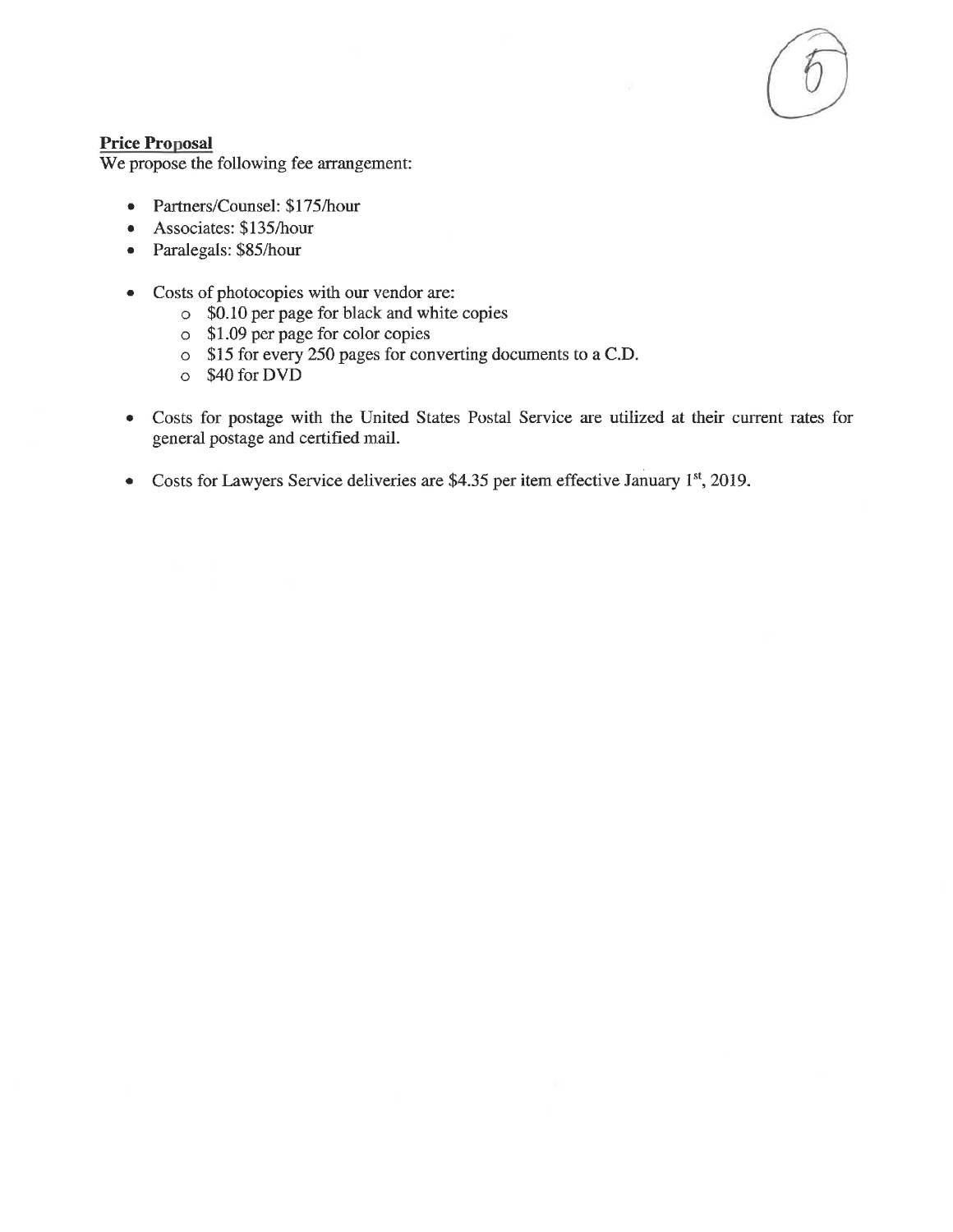#### **Price Proposal**

We propose the following fee arrangement:

- Partners/Counsel: \$175/hour  $\bullet$
- Associates: \$135/hour  $\bullet$
- Paralegals: \$85/hour  $\bullet$
- Costs of photocopies with our vendor are:  $\bullet$ 
	- o \$0.10 per page for black and white copies
	- $\circ$  \$1.09 per page for color copies
	- o \$15 for every 250 pages for converting documents to a C.D.
	- o \$40 for DVD
- Costs for postage with the United States Postal Service are utilized at their current rates for  $\bullet$ general postage and certified mail.
- Costs for Lawyers Service deliveries are \$4.35 per item effective January 1st, 2019.  $\bullet$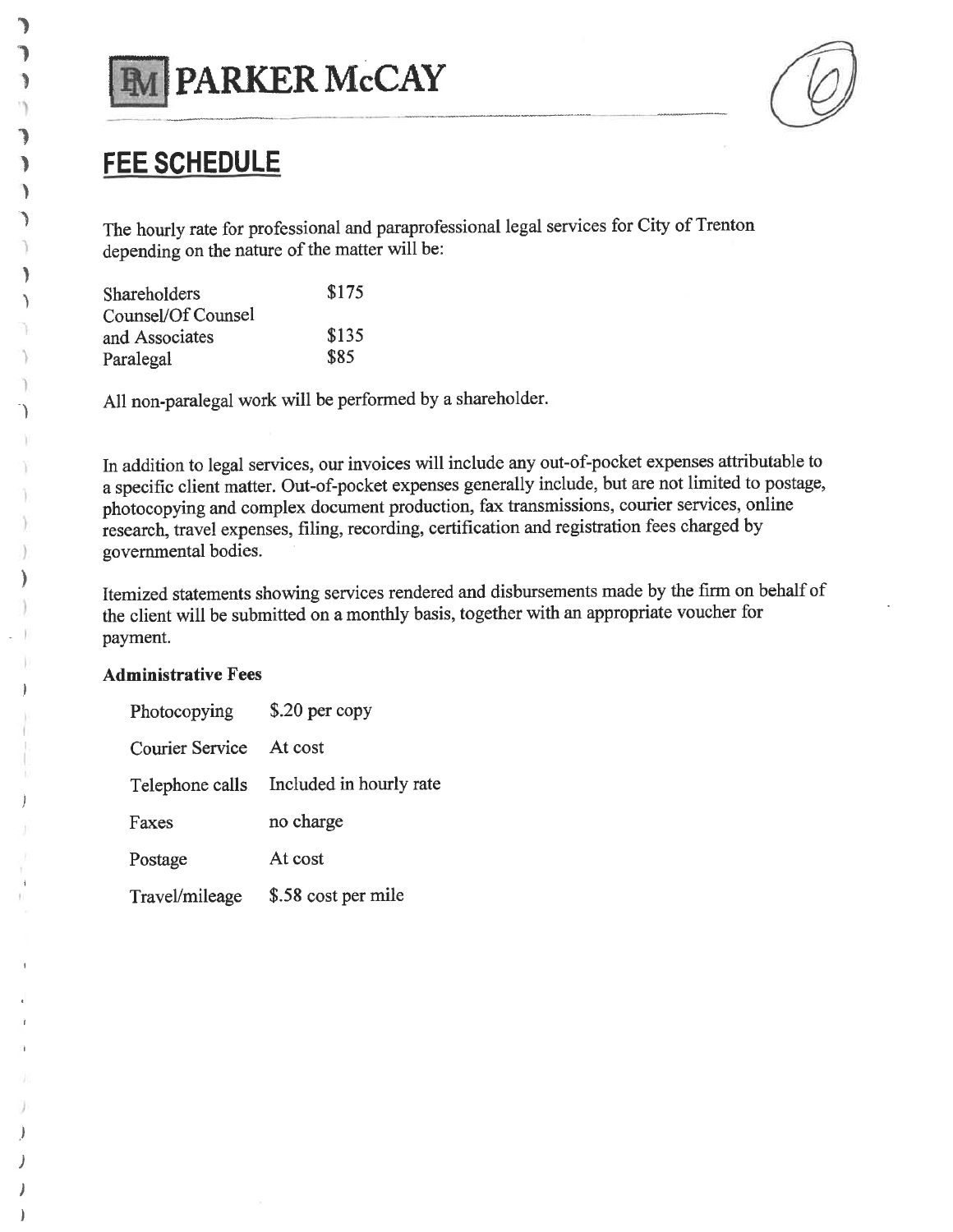

# **FEE SCHEDULE**

٦,

้า

٦

The hourly rate for professional and paraprofessional legal services for City of Trenton depending on the nature of the matter will be:

| Shareholders       | \$175 |
|--------------------|-------|
| Counsel/Of Counsel |       |
| and Associates     | \$135 |
| Paralegal          | \$85  |

All non-paralegal work will be performed by a shareholder.

In addition to legal services, our invoices will include any out-of-pocket expenses attributable to a specific client matter. Out-of-pocket expenses generally include, but are not limited to postage, photocopying and complex document production, fax transmissions, courier services, online research, travel expenses, filing, recording, certification and registration fees charged by governmental bodies.

Itemized statements showing services rendered and disbursements made by the firm on behalf of the client will be submitted on a monthly basis, together with an appropriate voucher for payment.

#### **Administrative Fees**

| Photocopying    | \$.20 per copy          |
|-----------------|-------------------------|
| Courier Service | At cost                 |
| Telephone calls | Included in hourly rate |
| Faxes           | no charge               |
| Postage         | At cost                 |
| Travel/mileage  | \$.58 cost per mile     |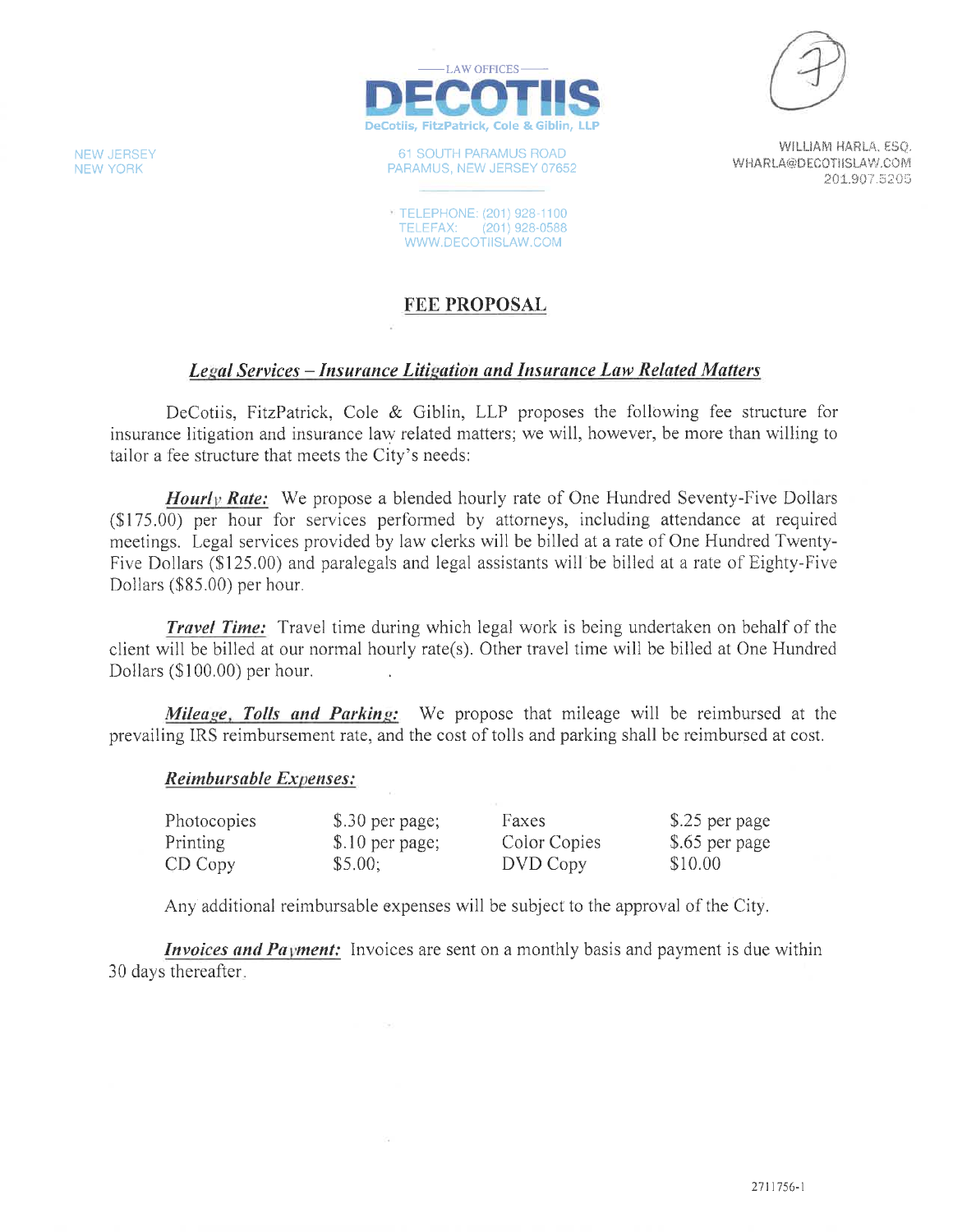

61 SOUTH PARAMUS ROAD PARAMUS, NEW JERSEY 07652

**TELEPHONE: (201) 928-1100** TELEFAX: (201) 928-0588 WWW.DECOTIISLAW.COM



WILLIAM HARLA, ESQ. WHARLA@DECOTIISLAW.COM 201.907.5205

#### **FEE PROPOSAL**

#### Legal Services - Insurance Litigation and Insurance Law Related Matters

DeCotiis, FitzPatrick, Cole & Giblin, LLP proposes the following fee structure for insurance litigation and insurance law related matters; we will, however, be more than willing to tailor a fee structure that meets the City's needs:

**Hourly Rate:** We propose a blended hourly rate of One Hundred Seventy-Five Dollars (\$175.00) per hour for services performed by attorneys, including attendance at required meetings. Legal services provided by law clerks will be billed at a rate of One Hundred Twenty-Five Dollars (\$125.00) and paralegals and legal assistants will be billed at a rate of Eighty-Five Dollars (\$85.00) per hour.

**Travel Time:** Travel time during which legal work is being undertaken on behalf of the client will be billed at our normal hourly rate(s). Other travel time will be billed at One Hundred Dollars (\$100.00) per hour.

Mileage, Tolls and Parking: We propose that mileage will be reimbursed at the prevailing IRS reimbursement rate, and the cost of tolls and parking shall be reimbursed at cost.

#### **Reimbursable Expenses:**

| Photocopies | \$.30 per page;  | Faxes        | \$.25 per page |
|-------------|------------------|--------------|----------------|
| Printing    | $$.10$ per page; | Color Copies | \$.65 per page |
| CD Copy     | \$5.00;          | DVD Copy     | \$10.00        |

Any additional reimbursable expenses will be subject to the approval of the City.

*Invoices and Payment:* Invoices are sent on a monthly basis and payment is due within 30 days thereafter.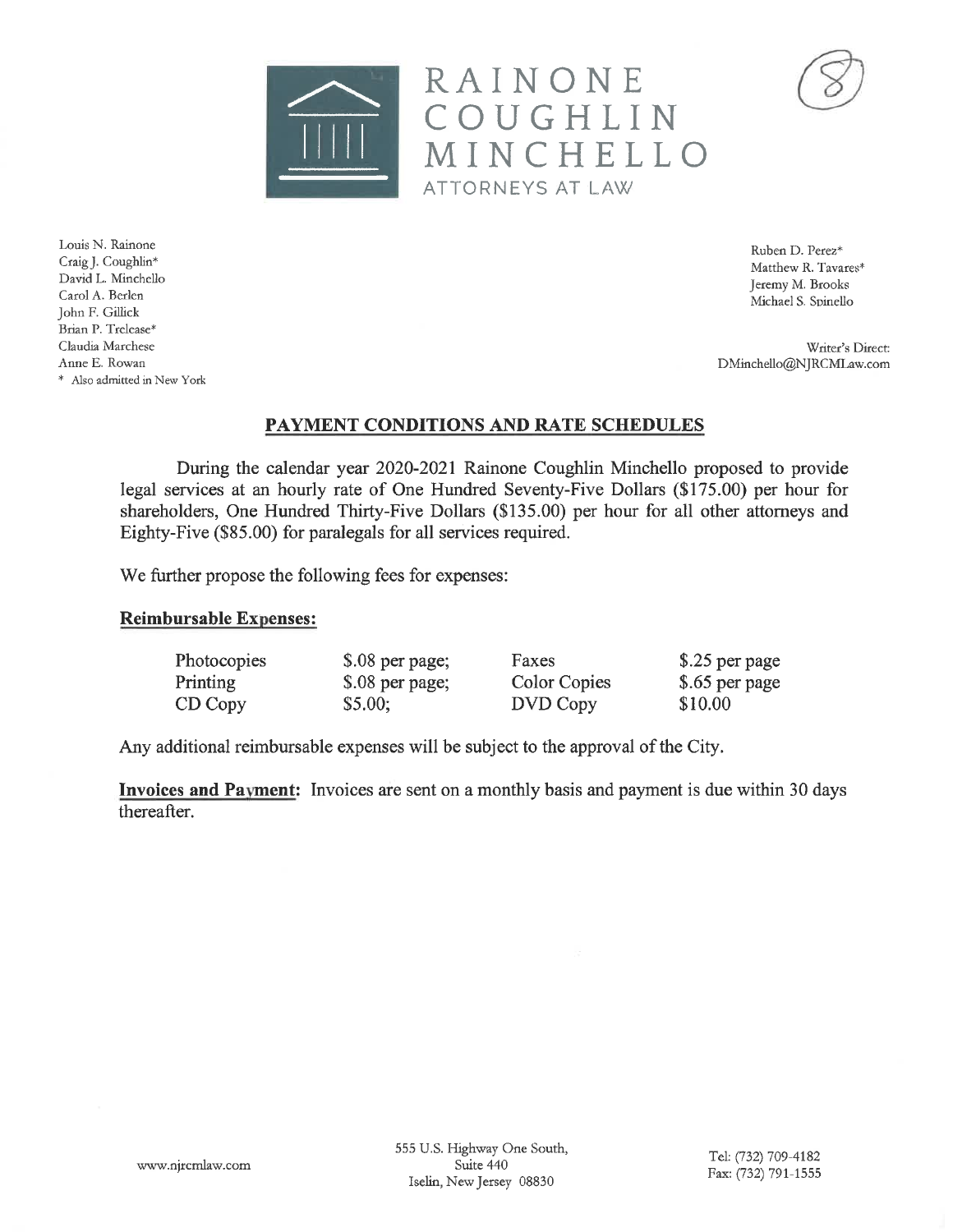

Ruben D. Perez\* Matthew R. Tavares\* Jeremy M. Brooks Michael S. Spinello

Writer's Direct: DMinchello@NJRCMLaw.com

#### PAYMENT CONDITIONS AND RATE SCHEDULES

RAINONE

ATTORNEYS AT LAW

COUGHLIN

MINCHELLO

During the calendar year 2020-2021 Rainone Coughlin Minchello proposed to provide legal services at an hourly rate of One Hundred Seventy-Five Dollars (\$175.00) per hour for shareholders, One Hundred Thirty-Five Dollars (\$135.00) per hour for all other attorneys and Eighty-Five (\$85.00) for paralegals for all services required.

We further propose the following fees for expenses:

#### **Reimbursable Expenses:**

| Photocopies | \$.08 per page; | Faxes        | \$.25 per page |
|-------------|-----------------|--------------|----------------|
| Printing    | \$.08 per page; | Color Copies | \$.65 per page |
| CD Copy     | \$5.00;         | DVD Copy     | \$10.00        |

Any additional reimbursable expenses will be subject to the approval of the City.

Invoices and Payment: Invoices are sent on a monthly basis and payment is due within 30 days thereafter.

www.njrcmlaw.com

555 U.S. Highway One South, Suite 440 Iselin, New Jersey 08830



Louis N. Rainone Craig J. Coughlin\* David L. Minchello Carol A. Berlen John F. Gillick Brian P. Trelease\* Claudia Marchese Anne E. Rowan \* Also admitted in New York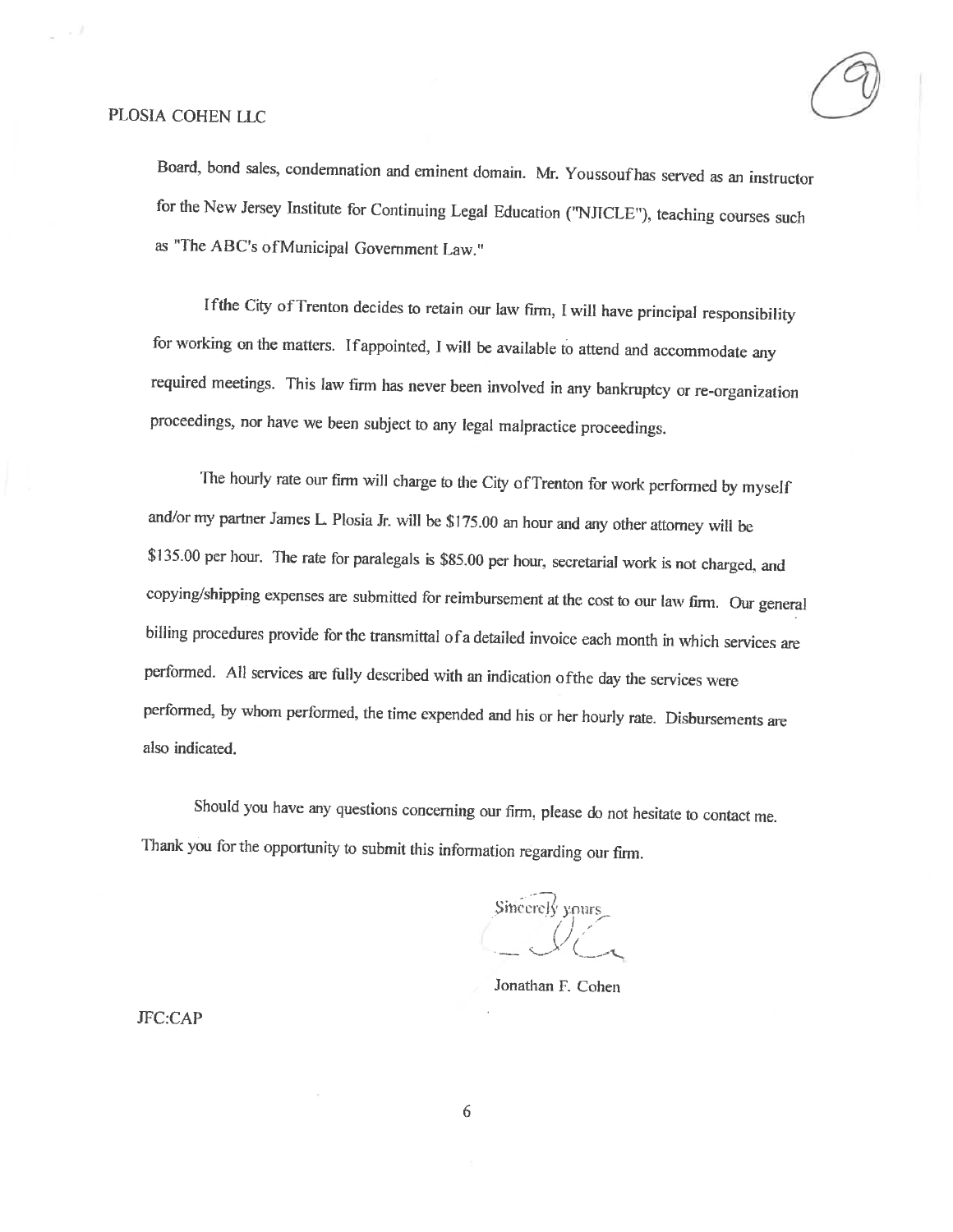#### PLOSIA COHEN LLC

Board, bond sales, condemnation and eminent domain. Mr. Youssouf has served as an instructor for the New Jersey Institute for Continuing Legal Education ("NJICLE"), teaching courses such as "The ABC's of Municipal Government Law."

If the City of Trenton decides to retain our law firm, I will have principal responsibility for working on the matters. If appointed, I will be available to attend and accommodate any required meetings. This law firm has never been involved in any bankruptcy or re-organization proceedings, nor have we been subject to any legal malpractice proceedings.

The hourly rate our firm will charge to the City of Trenton for work performed by myself and/or my partner James L. Plosia Jr. will be \$175.00 an hour and any other attorney will be \$135.00 per hour. The rate for paralegals is \$85.00 per hour, secretarial work is not charged, and copying/shipping expenses are submitted for reimbursement at the cost to our law firm. Our general billing procedures provide for the transmittal of a detailed invoice each month in which services are performed. All services are fully described with an indication of the day the services were performed, by whom performed, the time expended and his or her hourly rate. Disbursements are also indicated.

Should you have any questions concerning our firm, please do not hesitate to contact me. Thank you for the opportunity to submit this information regarding our firm.

Sincerely yours

Jonathan F. Cohen

**JFC:CAP**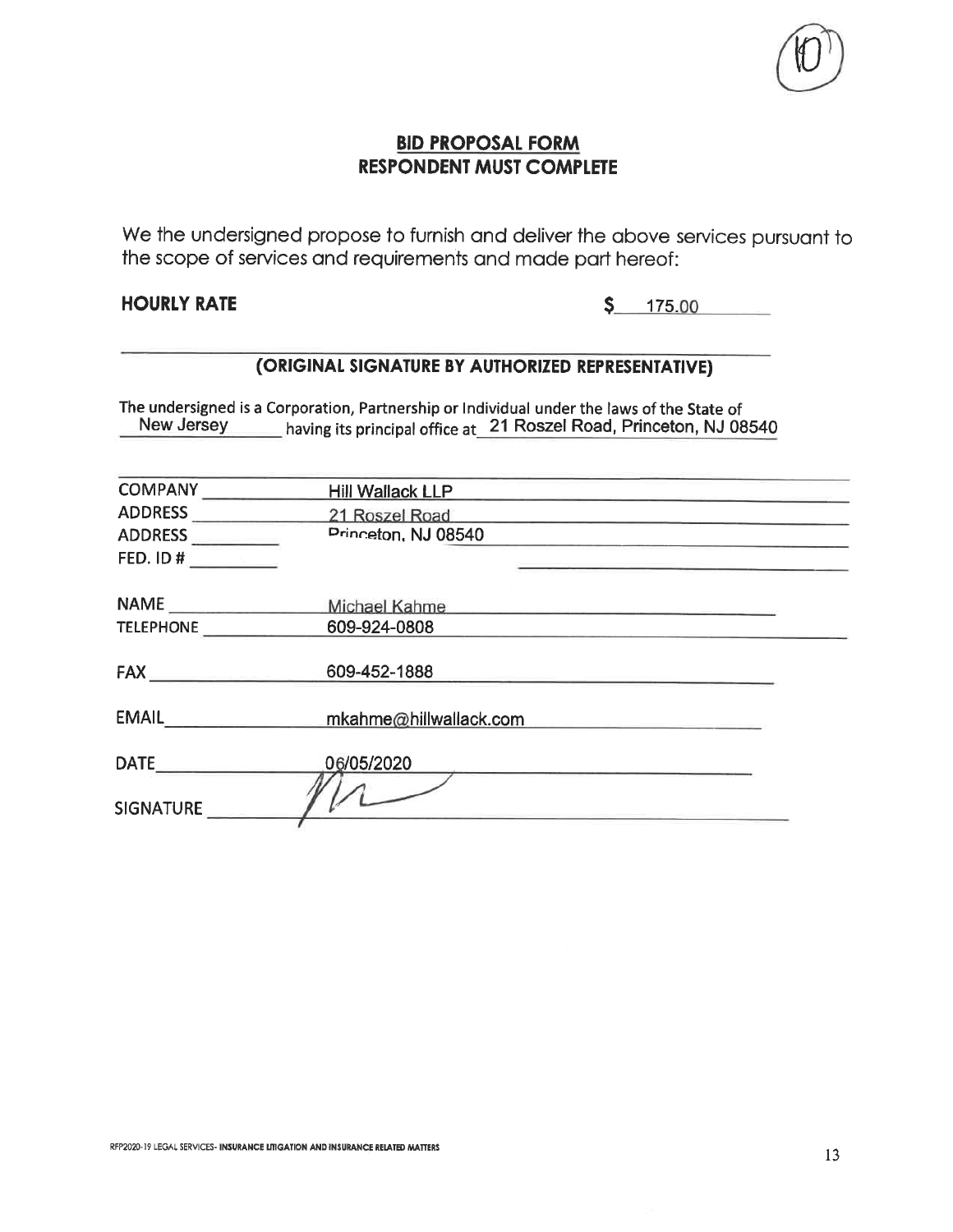

#### **BID PROPOSAL FORM RESPONDENT MUST COMPLETE**

We the undersigned propose to furnish and deliver the above services pursuant to the scope of services and requirements and made part hereof:

#### **HOURLY RATE**

 $5 - 175.00$ 

#### (ORIGINAL SIGNATURE BY AUTHORIZED REPRESENTATIVE)

The undersigned is a Corporation, Partnership or Individual under the laws of the State of having its principal office at 21 Roszel Road, Princeton, NJ 08540 New Jersey

| <b>COMPANY</b>                             | <b>Hill Wallack LLP</b> |  |
|--------------------------------------------|-------------------------|--|
| <b>ADDRESS</b>                             | 21 Roszel Road          |  |
| <b>ADDRESS</b><br><u> La Carlo Carlo I</u> | Princeton, NJ 08540     |  |
| FED. ID $#$                                |                         |  |
|                                            | Michael Kahme           |  |
| <b>TELEPHONE</b>                           | 609-924-0808            |  |
| <b>FAX</b>                                 | 609-452-1888            |  |
| EMAIL <b>EMAIL</b>                         | mkahme@hillwallack.com  |  |
| <b>DATE</b>                                | 06/05/2020              |  |
| <b>SIGNATURE</b>                           |                         |  |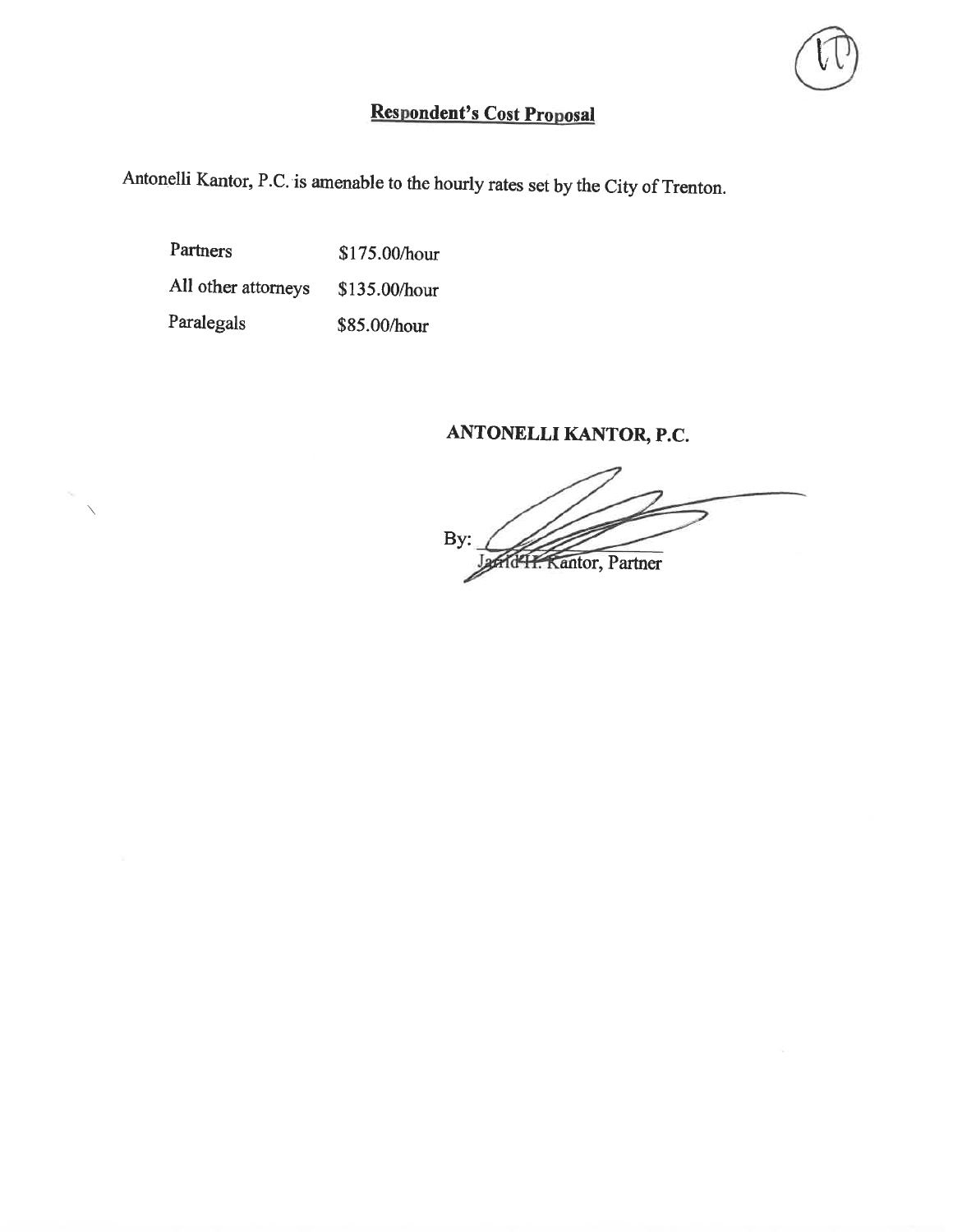# Respondent's Cost Proposal

Antonelli Kantor, P.C. is amenable to the hourly rates set by the City of Trenton.

Partners \$175.00/hour All other attorneys \$135.00/hour Paralegals \$85.00/hour

#### ANTONELLI KANTOR, P.C.

By: H. Kantor, Partner